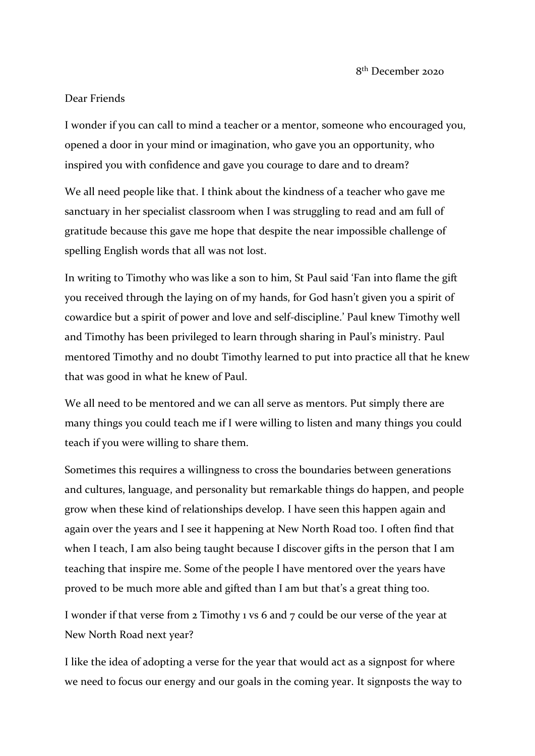## Dear Friends

I wonder if you can call to mind a teacher or a mentor, someone who encouraged you, opened a door in your mind or imagination, who gave you an opportunity, who inspired you with confidence and gave you courage to dare and to dream?

We all need people like that. I think about the kindness of a teacher who gave me sanctuary in her specialist classroom when I was struggling to read and am full of gratitude because this gave me hope that despite the near impossible challenge of spelling English words that all was not lost.

In writing to Timothy who was like a son to him, St Paul said 'Fan into flame the gift you received through the laying on of my hands, for God hasn't given you a spirit of cowardice but a spirit of power and love and self-discipline.' Paul knew Timothy well and Timothy has been privileged to learn through sharing in Paul's ministry. Paul mentored Timothy and no doubt Timothy learned to put into practice all that he knew that was good in what he knew of Paul.

We all need to be mentored and we can all serve as mentors. Put simply there are many things you could teach me if I were willing to listen and many things you could teach if you were willing to share them.

Sometimes this requires a willingness to cross the boundaries between generations and cultures, language, and personality but remarkable things do happen, and people grow when these kind of relationships develop. I have seen this happen again and again over the years and I see it happening at New North Road too. I often find that when I teach, I am also being taught because I discover gifts in the person that I am teaching that inspire me. Some of the people I have mentored over the years have proved to be much more able and gifted than I am but that's a great thing too.

I wonder if that verse from 2 Timothy 1 vs 6 and 7 could be our verse of the year at New North Road next year?

I like the idea of adopting a verse for the year that would act as a signpost for where we need to focus our energy and our goals in the coming year. It signposts the way to